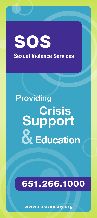## SOS Sexual Violence Services

# Providing & Education Support **Crisis**

### 651.266.1000

www.sosramsey.org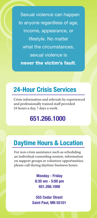Sexual violence can happen to anyone regardless of age, income, appearance, or lifestyle. No matter what the circumstances, sexual violence is never the victim's fault.

#### 24-Hour Crisis Services

Crisis information and referrals by experienced and professionally trained staff provided 24 hours a day, 7 days a week.

#### 651.266.1000

#### Daytime Hours & Location

For non-crisis assistance such as scheduling an individual counseling session, information on support groups or volunteer opportunities, please call during daytime business hours.

> Monday - Friday 8:30 am - 5:00 pm 651.266.1000

555 Cedar Street Saint Paul, MN 55101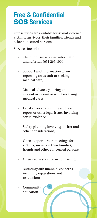#### Free & Confidential SOS Services

Our services are available for sexual violence victims, survivors, their families, friends and other concerned persons.

Services include:

- 24-hour crisis services, information and referrals (651.266.1000);
- Support and information when reporting an assault or seeking medical care;
- Medical advocacy during an evidentiary exam or while receiving medical care;
- Legal advocacy on filing a police report or other legal issues involving sexual violence;
- Safety planning involving shelter and other considerations;
- Open support group meetings for victims, survivors, their families, friends and other concerned persons;
- One-on-one short term counseling;
- Assisting with financial concerns including reparations and restitution;
- Community education.